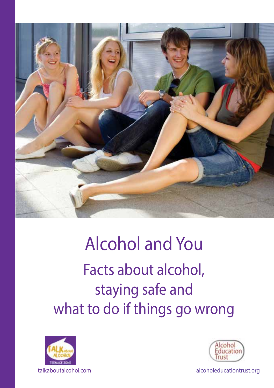

# Alcohol and You Facts about alcohol, staying safe and what to do if things go wrong





[talkaboutalcohol.com](http://www.talkaboutalcohol.com) [alcoholeducationtrust.org](http://www.alcoholeducationtrust.org)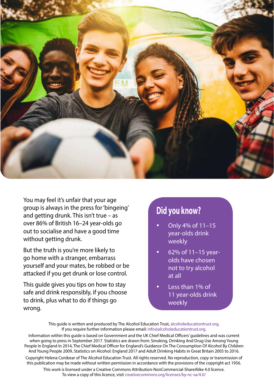

You may feel it's unfair that your age group is always in the press for 'bingeing' and getting drunk. This isn't true – as over 86% of British 16–24 year-olds go out to socialise and have a good time without getting drunk.

But the truth is you're more likely to go home with a stranger, embarrass yourself and your mates, be robbed or be attacked if you get drunk or lose control.

This guide gives you tips on how to stay safe and drink responsibly, if you choose to drink, plus what to do if things go wrong.

## **Did you know?**

- Only 4% of 11–15 year-olds drink weekly
- 62% of 11–15 yearolds have chosen not to try alcohol at all
- Less than 1% of 11 year-olds drink weekly

This guide is written and produced by The Alcohol Education Trust, [alcoholeducationtrust.org.](http://www.alcoholeducationtrust.org) If you require further information please email: inf[o@alcoholeducationtrust.org.](mailto:jane@alcoholeducationtrust.org ) Information within this guide is based on Government and the UK Chief Medical Officers' guidelines and was current when going to press in September 2017. Statistics are drawn from: Smoking, Drinking And Drug Use Among Young People In England In 2014, The Chief Medical Officer for England's Guidance On The Consumption Of Alcohol By Children And Young People 2009, Statistics on Alcohol: England 2017 and Adult Drinking Habits in Great Britain 2005 to 2016. Copyright Helena Conibear of The Alcohol Education Trust. All rights reserved. No reproduction, copy or transmission of this publication may be made without written permission in accordance with the provisions of the copyright act 1956. This work is licensed under a Creative Commons Attribution-NonCommercial-ShareAlike 4.0 licence. To view a copy of this licence, visit [creativecommons.org/licenses/by-nc-sa/4.0/](http://creativecommons.org/licenses/by-nc-sa/4.0/)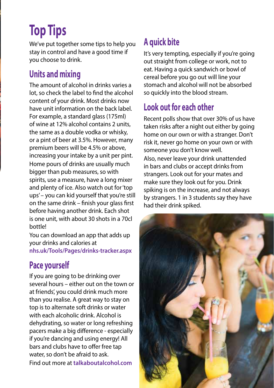# **Top Tips**

We've put together some tips to help you stay in control and have a good time if you choose to drink.

# **Units and mixing**

The amount of alcohol in drinks varies a lot, so check the label to find the alcohol content of your drink. Most drinks now have unit information on the back label. For example, a standard glass (175ml) of wine at 12% alcohol contains 2 units, the same as a double vodka or whisky, or a pint of beer at 3.5%. However, many premium beers will be 4.5% or above, increasing your intake by a unit per pint. Home pours of drinks are usually much bigger than pub measures, so with spirits, use a measure, have a long mixer and plenty of ice. Also watch out for 'top ups' – you can kid yourself that you're still on the same drink – finish your glass first before having another drink. Each shot is one unit, with about 30 shots in a 70cl bottle!

You can download an app that adds up your drinks and calories at **[nhs.uk/Tools/Pages/drinks-tracker.aspx](http://www.nhs.uk/Tools/Pages/drinks-tracker.aspx)**

# **Pace yourself**

If you are going to be drinking over several hours – either out on the town or at friends', you could drink much more than you realise. A great way to stay on top is to alternate soft drinks or water with each alcoholic drink. Alcohol is dehydrating, so water or long refreshing pacers make a big difference - especially if you're dancing and using energy! All bars and clubs have to offer free tap water, so don't be afraid to ask. Find out more at **[talkaboutalcohol.com](http://talkaboutalcohol.com)**

# **A quick bite**

It's very tempting, especially if you're going out straight from college or work, not to eat. Having a quick sandwich or bowl of cereal before you go out will line your stomach and alcohol will not be absorbed so quickly into the blood stream.

# **Look out for each other**

had their drink spiked.

Recent polls show that over 30% of us have taken risks after a night out either by going home on our own or with a stranger. Don't risk it, never go home on your own or with someone you don't know well. Also, never leave your drink unattended in bars and clubs or accept drinks from strangers. Look out for your mates and make sure they look out for you. Drink spiking is on the increase, and not always by strangers. 1 in 3 students say they have

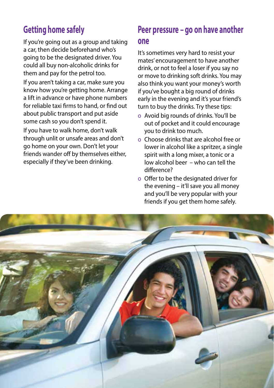# **Getting home safely**

If you're going out as a group and taking a car, then decide beforehand who's going to be the designated driver. You could all buy non-alcoholic drinks for them and pay for the petrol too.

If you aren't taking a car, make sure you know how you're getting home. Arrange a lift in advance or have phone numbers for reliable taxi firms to hand, or find out about public transport and put aside some cash so you don't spend it.

If you have to walk home, don't walk through unlit or unsafe areas and don't go home on your own. Don't let your friends wander off by themselves either, especially if they've been drinking.

### **Peer pressure – go on have another one**

It's sometimes very hard to resist your mates' encouragement to have another drink, or not to feel a loser if you say no or move to drinking soft drinks. You may also think you want your money's worth if you've bought a big round of drinks early in the evening and it's your friend's turn to buy the drinks. Try these tips:

- o Avoid big rounds of drinks. You'll be out of pocket and it could encourage you to drink too much.
- o Choose drinks that are alcohol free or lower in alcohol like a spritzer, a single spirit with a long mixer, a tonic or a low alcohol beer – who can tell the difference?
- o Offer to be the designated driver for the evening – it'll save you all money and you'll be very popular with your friends if you get them home safely.

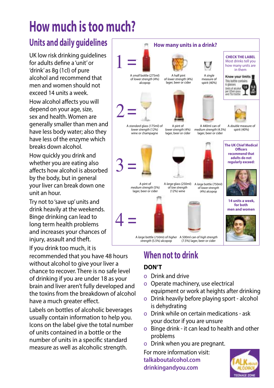# **How much is too much?**

# **Units and daily guidelines**

UK low risk drinking guidelines for adults define a 'unit' or 'drink' as 8g (1cl) of pure alcohol and recommend that men and women should not exceed 14 units a week.

How alcohol affects you will depend on your age, size, sex and health. Women are generally smaller than men and have less body water; also they have less of the enzyme which breaks down alcohol.

How quickly you drink and whether you are eating also affects how alcohol is absorbed by the body, but in general your liver can break down one unit an hour.

Try not to 'save up' units and drink heavily at the weekends. Binge drinking can lead to long term health problems and increases your chances of injury, assault and theft.

If you drink too much, it is

recommended that you have 48 hours without alcohol to give your liver a chance to recover. There is no safe level of drinking if you are under 18 as your brain and liver aren't fully developed and the toxins from the breakdown of alcohol have a much greater effect.

Labels on bottles of alcoholic beverages usually contain information to help you. Icons on the label give the total number of units contained in a bottle or the number of units in a specific standard measure as well as alcoholic strength.



# **When not to drink**

#### **DON'T**

- o Drink and drive
- o Operate machinery, use electrical equipment or work at heights after drinking
- o Drink heavily before playing sport alcohol is dehydrating
- o Drink while on certain medications ask your doctor if you are unsure
- o Binge drink it can lead to health and other problems
- o Drink when you are pregnant.

For more information visit: **[talkaboutalcohol.com](http://talkaboutalcohol.com) [drinkingandyou.com](http://www.drinkingandyou.com)**

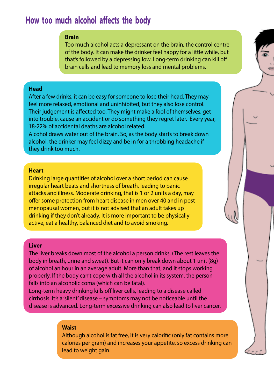### **How too much alcohol affects the body**

#### **Brain**

Too much alcohol acts a depressant on the brain, the control centre of the body. It can make the drinker feel happy for a little while, but that's followed by a depressing low. Long-term drinking can kill off brain cells and lead to memory loss and mental problems.

#### **Head**

After a few drinks, it can be easy for someone to lose their head. They may feel more relaxed, emotional and uninhibited, but they also lose control. Their judgement is affected too. They might make a fool of themselves, get into trouble, cause an accident or do something they regret later. Every year, 18-22% of accidental deaths are alcohol related.

Alcohol draws water out of the brain. So, as the body starts to break down alcohol, the drinker may feel dizzy and be in for a throbbing headache if they drink too much.

#### **Heart**

Drinking large quantities of alcohol over a short period can cause irregular heart beats and shortness of breath, leading to panic attacks and illness. Moderate drinking, that is 1 or 2 units a day, may offer some protection from heart disease in men over 40 and in post menopausal women, but it is not advised that an adult takes up drinking if they don't already. It is more important to be physically active, eat a healthy, balanced diet and to avoid smoking.

#### **Liver**

The liver breaks down most of the alcohol a person drinks. (The rest leaves the body in breath, urine and sweat). But it can only break down about 1 unit (8g) of alcohol an hour in an average adult. More than that, and it stops working properly. If the body can't cope with all the alcohol in its system, the person falls into an alcoholic coma (which can be fatal).

Long-term heavy drinking kills off liver cells, leading to a disease called cirrhosis. It's a 'silent' disease – symptoms may not be noticeable until the disease is advanced. Long-term excessive drinking can also lead to liver cancer.

#### **Waist**

Although alcohol is fat free, it is very calorific (only fat contains more calories per gram) and increases your appetite, so excess drinking can lead to weight gain.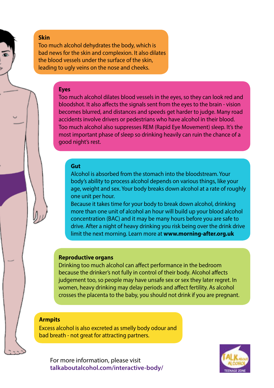#### **Skin**

Too much alcohol dehydrates the body, which is bad news for the skin and complexion. It also dilates the blood vessels under the surface of the skin, leading to ugly veins on the nose and cheeks.

#### **Eyes**

Too much alcohol dilates blood vessels in the eyes, so they can look red and bloodshot. It also affects the signals sent from the eyes to the brain - vision becomes blurred, and distances and speeds get harder to judge. Many road accidents involve drivers or pedestrians who have alcohol in their blood. Too much alcohol also suppresses REM (Rapid Eye Movement) sleep. It's the most important phase of sleep so drinking heavily can ruin the chance of a good night's rest.

#### **Gut**

Alcohol is absorbed from the stomach into the bloodstream. Your body's ability to process alcohol depends on various things, like your age, weight and sex. Your body breaks down alcohol at a rate of roughly one unit per hour.

Because it takes time for your body to break down alcohol, drinking more than one unit of alcohol an hour will build up your blood alcohol concentration (BAC) and it may be many hours before you are safe to drive. After a night of heavy drinking you risk being over the drink drive limit the next morning. Learn more at **[www.morning-after.org](http://www.morning-after.org.uk).uk**

#### **Reproductive organs**

Drinking too much alcohol can affect performance in the bedroom because the drinker's not fully in control of their body. Alcohol affects judgement too, so people may have unsafe sex or sex they later regret. In women, heavy drinking may delay periods and affect fertility. As alcohol crosses the placenta to the baby, you should not drink if you are pregnant.

#### **Armpits**

Excess alcohol is also excreted as smelly body odour and bad breath - not great for attracting partners.

For more information, please visit **[talkaboutalcohol.com/interactive-body/](http://www.talkaboutalcohol.com/interactive-body/)**

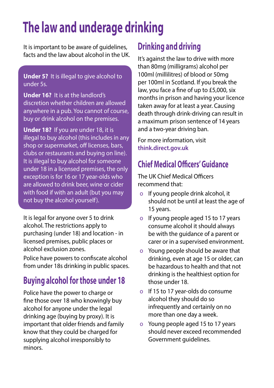# **The law and underage drinking**

It is important to be aware of quidelines, facts and the law about alcohol in the UK.

**Under 5?** It is illegal to give alcohol to under 5s.

**Under 16?** It is at the landlord's discretion whether children are allowed anywhere in a pub. You cannot of course, buy or drink alcohol on the premises.

**Under 18?** If you are under 18, it is illegal to buy alcohol (this includes in any shop or supermarket, off licenses, bars, clubs or restaurants and buying on line). It is illegal to buy alcohol for someone under 18 in a licensed premises, the only exception is for 16 or 17 year-olds who are allowed to drink beer, wine or cider with food if with an adult (but you may not buy the alcohol yourself).

It is legal for anyone over 5 to drink alcohol. The restrictions apply to purchasing (under 18) and location - in licensed premises, public places or alcohol exclusion zones.

Police have powers to confiscate alcohol from under 18s drinking in public spaces.

# **Buying alcohol for those under 18**

Police have the power to charge or fine those over 18 who knowingly buy alcohol for anyone under the legal drinking age (buying by proxy). It is important that older friends and family know that they could be charged for supplying alcohol irresponsibly to minors.

# **Drinking and driving**

It's against the law to drive with more than 80mg (milligrams) alcohol per 100ml (millilitres) of blood or 50mg per 100ml in Scotland. If you break the law, you face a fine of up to £5,000, six months in prison and having your licence taken away for at least a year. Causing death through drink-driving can result in a maximum prison sentence of 14 years and a two-year driving ban.

For more information, visit **[think.direct.gov.uk](http://think.direct.gov.uk)**

## **Chief Medical Officers' Guidance**

The UK Chief Medical Officers recommend that:

- o If young people drink alcohol, it should not be until at least the age of 15 years.
- o If young people aged 15 to 17 years consume alcohol it should always be with the guidance of a parent or carer or in a supervised environment.
- o Young people should be aware that drinking, even at age 15 or older, can be hazardous to health and that not drinking is the healthiest option for those under 18.
- o If 15 to 17 year-olds do consume alcohol they should do so infrequently and certainly on no more than one day a week.
- o Young people aged 15 to 17 years should never exceed recommended Government guidelines.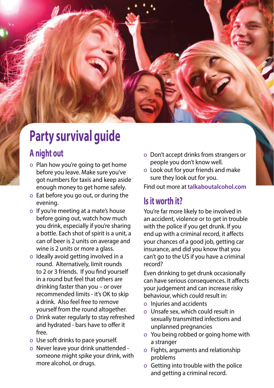# **Party survival guide**

## **A night out**

- o Plan how you're going to get home before you leave. Make sure you've got numbers for taxis and keep aside enough money to get home safely.
- o Eat before you go out, or during the evening.
- o If you're meeting at a mate's house before going out, watch how much you drink, especially if you're sharing a bottle. Each shot of spirit is a unit, a can of beer is 2 units on average and wine is 2 units or more a glass.
- o Ideally avoid getting involved in a round. Alternatively, limit rounds to 2 or 3 friends. If you find yourself in a round but feel that others are drinking faster than you – or over recommended limits - it's OK to skip a drink. Also feel free to remove yourself from the round altogether.
- o Drink water regularly to stay refreshed and hydrated - bars have to offer it free.
- o Use soft drinks to pace yourself.
- o Never leave your drink unattended someone might spike your drink, with more alcohol, or drugs.
- o Don't accept drinks from strangers or people you don't know well.
- o Look out for your friends and make sure they look out for you.

Find out more at **[talkaboutalcohol.com](http://talkaboutalcohol.com)**

## **Is it worth it?**

You're far more likely to be involved in an accident, violence or to get in trouble with the police if you get drunk. If you end up with a criminal record, it affects your chances of a good job, getting car insurance, and did you know that you can't go to the US if you have a criminal record?

Even drinking to get drunk occasionally can have serious consequences. It affects your judgement and can increase risky behaviour, which could result in:

- o Injuries and accidents
- o Unsafe sex, which could result in sexually transmitted infections and unplanned pregnancies
- o You being robbed or going home with a stranger
- o Fights, arguments and relationship problems
- o Getting into trouble with the police and getting a criminal record.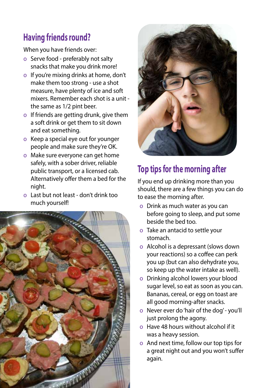# **Having friends round?**

When you have friends over:

- o Serve food preferably not salty snacks that make you drink more!
- o If you're mixing drinks at home, don't make them too strong - use a shot measure, have plenty of ice and soft mixers. Remember each shot is a unit the same as 1/2 pint beer.
- o If friends are getting drunk, give them a soft drink or get them to sit down and eat something.
- o Keep a special eye out for younger people and make sure they're OK.
- o Make sure everyone can get home safely, with a sober driver, reliable public transport, or a licensed cab. Alternatively offer them a bed for the night.
- o Last but not least don't drink too much yourself!





# **Top tips for the morning after**

If you end up drinking more than you should, there are a few things you can do to ease the morning after.

- o Drink as much water as you can before going to sleep, and put some beside the bed too.
- o Take an antacid to settle your stomach.
- o Alcohol is a depressant (slows down your reactions) so a coffee can perk you up (but can also dehydrate you, so keep up the water intake as well).
- o Drinking alcohol lowers your blood sugar level, so eat as soon as you can. Bananas, cereal, or egg on toast are all good morning-after snacks.
- o Never ever do 'hair of the dog' you'll just prolong the agony.
- o Have 48 hours without alcohol if it was a heavy session.
- o And next time, follow our top tips for a great night out and you won't suffer again.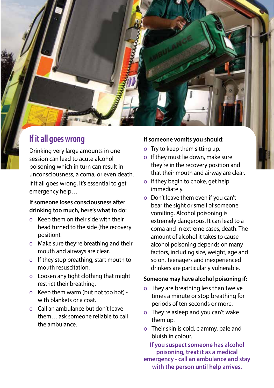

## **If it all goes wrong**

Drinking very large amounts in one session can lead to acute alcohol poisoning which in turn can result in unconsciousness, a coma, or even death. If it all goes wrong, it's essential to get emergency help…

#### **If someone loses consciousness after drinking too much, here's what to do:**

- o Keep them on their side with their head turned to the side (the recovery position).
- o Make sure they're breathing and their mouth and airways are clear.
- o If they stop breathing, start mouth to mouth resuscitation.
- o Loosen any tight clothing that might restrict their breathing.
- o Keep them warm (but not too hot) with blankets or a coat.
- o Call an ambulance but don't leave them… ask someone reliable to call the ambulance.

#### **If someone vomits you should:**

- o Try to keep them sitting up.
- o If they must lie down, make sure they're in the recovery position and that their mouth and airway are clear.
- o If they begin to choke, get help immediately.
- o Don't leave them even if you can't bear the sight or smell of someone vomiting. Alcohol poisoning is extremely dangerous. It can lead to a coma and in extreme cases, death. The amount of alcohol it takes to cause alcohol poisoning depends on many factors, including size, weight, age and so on. Teenagers and inexperienced drinkers are particularly vulnerable.

#### **Someone may have alcohol poisoning if:**

- o They are breathing less than twelve times a minute or stop breathing for periods of ten seconds or more.
- o They're asleep and you can't wake them up.
- o Their skin is cold, clammy, pale and bluish in colour.

**If you suspect someone has alcohol poisoning, treat it as a medical emergency - call an ambulance and stay with the person until help arrives.**